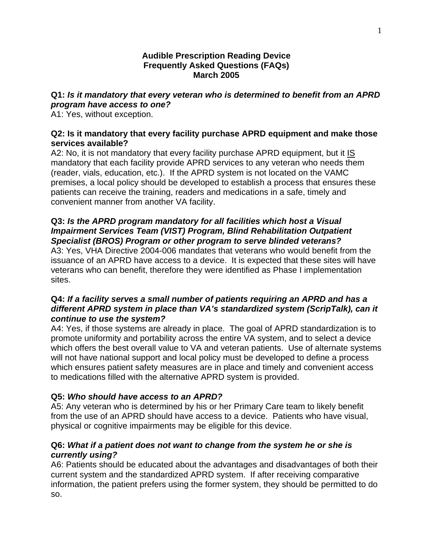#### **Audible Prescription Reading Device Frequently Asked Questions (FAQs) March 2005**

# **Q1:** *Is it mandatory that every veteran who is determined to benefit from an APRD program have access to one?*

A1: Yes, without exception.

### **Q2: Is it mandatory that every facility purchase APRD equipment and make those services available?**

A2: No, it is not mandatory that every facility purchase APRD equipment, but it  $IS$ mandatory that each facility provide APRD services to any veteran who needs them (reader, vials, education, etc.). If the APRD system is not located on the VAMC premises, a local policy should be developed to establish a process that ensures these patients can receive the training, readers and medications in a safe, timely and convenient manner from another VA facility.

## **Q3:** *Is the APRD program mandatory for all facilities which host a Visual Impairment Services Team (VIST) Program, Blind Rehabilitation Outpatient Specialist (BROS) Program or other program to serve blinded veterans?*

A3: Yes, VHA Directive 2004-006 mandates that veterans who would benefit from the issuance of an APRD have access to a device. It is expected that these sites will have veterans who can benefit, therefore they were identified as Phase I implementation sites.

## **Q4:** *If a facility serves a small number of patients requiring an APRD and has a different APRD system in place than VA's standardized system (ScripTalk), can it continue to use the system?*

A4: Yes, if those systems are already in place. The goal of APRD standardization is to promote uniformity and portability across the entire VA system, and to select a device which offers the best overall value to VA and veteran patients. Use of alternate systems will not have national support and local policy must be developed to define a process which ensures patient safety measures are in place and timely and convenient access to medications filled with the alternative APRD system is provided.

### **Q5:** *Who should have access to an APRD?*

A5: Any veteran who is determined by his or her Primary Care team to likely benefit from the use of an APRD should have access to a device. Patients who have visual, physical or cognitive impairments may be eligible for this device.

## **Q6:** *What if a patient does not want to change from the system he or she is currently using?*

A6: Patients should be educated about the advantages and disadvantages of both their current system and the standardized APRD system. If after receiving comparative information, the patient prefers using the former system, they should be permitted to do so.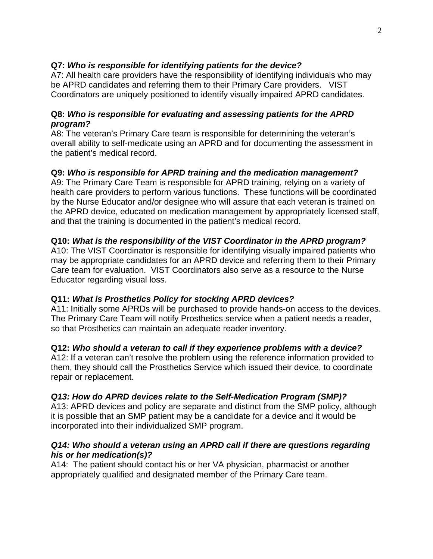## **Q7:** *Who is responsible for identifying patients for the device?*

A7: All health care providers have the responsibility of identifying individuals who may be APRD candidates and referring them to their Primary Care providers. VIST Coordinators are uniquely positioned to identify visually impaired APRD candidates.

## **Q8:** *Who is responsible for evaluating and assessing patients for the APRD program?*

A8: The veteran's Primary Care team is responsible for determining the veteran's overall ability to self-medicate using an APRD and for documenting the assessment in the patient's medical record.

# **Q9:** *Who is responsible for APRD training and the medication management?*

A9: The Primary Care Team is responsible for APRD training, relying on a variety of health care providers to perform various functions. These functions will be coordinated by the Nurse Educator and/or designee who will assure that each veteran is trained on the APRD device, educated on medication management by appropriately licensed staff, and that the training is documented in the patient's medical record.

# **Q10:** *What is the responsibility of the VIST Coordinator in the APRD program?*

A10: The VIST Coordinator is responsible for identifying visually impaired patients who may be appropriate candidates for an APRD device and referring them to their Primary Care team for evaluation. VIST Coordinators also serve as a resource to the Nurse Educator regarding visual loss.

### **Q11:** *What is Prosthetics Policy for stocking APRD devices?*

A11: Initially some APRDs will be purchased to provide hands-on access to the devices. The Primary Care Team will notify Prosthetics service when a patient needs a reader, so that Prosthetics can maintain an adequate reader inventory.

### **Q12:** *Who should a veteran to call if they experience problems with a device?*

 A12: If a veteran can't resolve the problem using the reference information provided to them, they should call the Prosthetics Service which issued their device, to coordinate repair or replacement.

### *Q13: How do APRD devices relate to the Self-Medication Program (SMP)?*

A13: APRD devices and policy are separate and distinct from the SMP policy, although it is possible that an SMP patient may be a candidate for a device and it would be incorporated into their individualized SMP program.

### *Q14: Who should a veteran using an APRD call if there are questions regarding his or her medication(s)?*

A14:The patient should contact his or her VA physician, pharmacist or another appropriately qualified and designated member of the Primary Care team.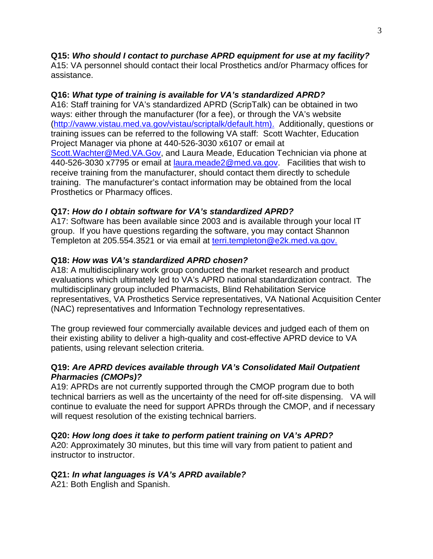# **Q15:** *Who should I contact to purchase APRD equipment for use at my facility?*

A15: VA personnel should contact their local Prosthetics and/or Pharmacy offices for assistance.

# **Q16:** *What type of training is available for VA's standardized APRD?*

A16: Staff training for VA's standardized APRD (ScripTalk) can be obtained in two ways: either through the manufacturer (for a fee), or through the VA's website ([http://vaww.vistau.med.va.gov/vistau/scriptalk/default.htm\)](http://vaww.vistau.med.va.gov/vistau/scriptalk/default.htm). Additionally, questions or training issues can be referred to the following VA staff: Scott Wachter, Education Project Manager via phone at 440-526-3030 x6107 or email at [Scott.Wachter@Med.VA.Gov,](mailto:Scott.Wachter@Med.VA.Gov) and Laura Meade, Education Technician via phone at 440-526-3030 x7795 or email at <u>laura.meade2@med.va.gov</u>. Facilities that wish to receive training from the manufacturer, should contact them directly to schedule training. The manufacturer's contact information may be obtained from the local Prosthetics or Pharmacy offices.

# **Q17:** *How do I obtain software for VA's standardized APRD?*

A17: Software has been available since 2003 and is available through your local IT group. If you have questions regarding the software, you may contact Shannon Templeton at 205.554.3521 or via email at [terri.templeton@e2k.med.va.gov.](mailto:terri.templeton@e2k.med.va.gov)

# **Q18:** *How was VA's standardized APRD chosen?*

A18: A multidisciplinary work group conducted the market research and product evaluations which ultimately led to VA's APRD national standardization contract. The multidisciplinary group included Pharmacists, Blind Rehabilitation Service representatives, VA Prosthetics Service representatives, VA National Acquisition Center (NAC) representatives and Information Technology representatives.

The group reviewed four commercially available devices and judged each of them on their existing ability to deliver a high-quality and cost-effective APRD device to VA patients, using relevant selection criteria.

## **Q19:** *Are APRD devices available through VA's Consolidated Mail Outpatient Pharmacies (CMOPs)?*

A19: APRDs are not currently supported through the CMOP program due to both technical barriers as well as the uncertainty of the need for off-site dispensing. VA will continue to evaluate the need for support APRDs through the CMOP, and if necessary will request resolution of the existing technical barriers.

# **Q20:** *How long does it take to perform patient training on VA's APRD?*

A20: Approximately 30 minutes, but this time will vary from patient to patient and instructor to instructor.

# **Q21:** *In what languages is VA's APRD available?*

A21: Both English and Spanish.